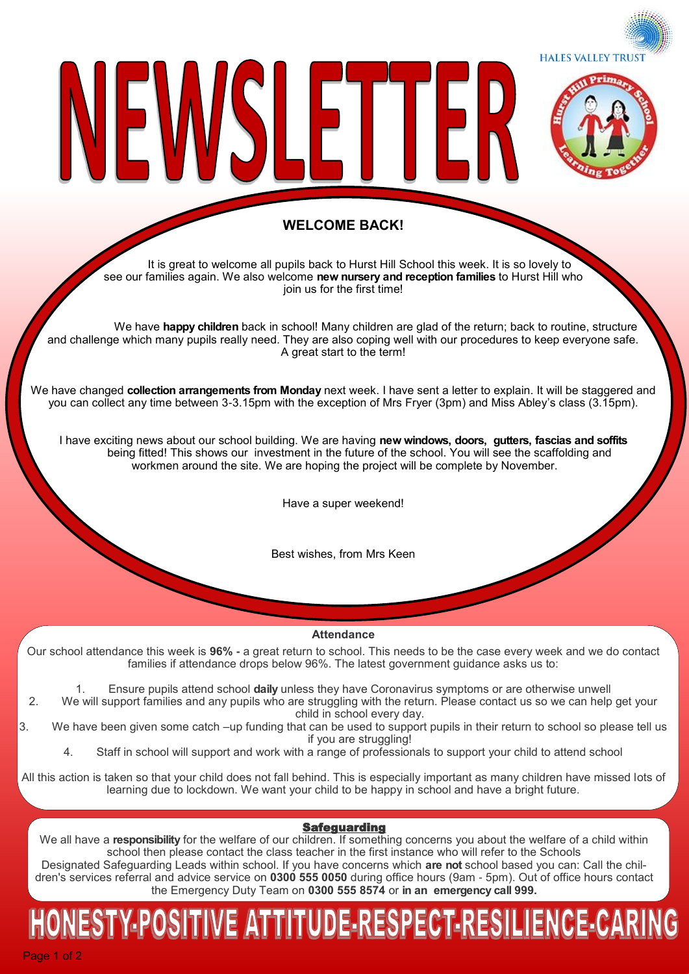**HALES VALLEY TRUST** 



#### **WELCOME BACK!**

LE L

IFI

It is great to welcome all pupils back to Hurst Hill School this week. It is so lovely to see our families again. We also welcome **new nursery and reception families** to Hurst Hill who join us for the first time!

We have **happy children** back in school! Many children are glad of the return; back to routine, structure and challenge which many pupils really need. They are also coping well with our procedures to keep everyone safe. A great start to the term!

We have changed **collection arrangements from Monday** next week. I have sent a letter to explain. It will be staggered and you can collect any time between 3-3.15pm with the exception of Mrs Fryer (3pm) and Miss Abley's class (3.15pm).

I have exciting news about our school building. We are having **new windows, doors, gutters, fascias and soffits**  being fitted! This shows our investment in the future of the school. You will see the scaffolding and workmen around the site. We are hoping the project will be complete by November.

Have a super weekend!

Best wishes, from Mrs Keen

**Attendance**

Our school attendance this week is **96% -** a great return to school. This needs to be the case every week and we do contact families if attendance drops below 96%. The latest government guidance asks us to:

1. Ensure pupils attend school **daily** unless they have Coronavirus symptoms or are otherwise unwell

2. We will support families and any pupils who are struggling with the return. Please contact us so we can help get your child in school every day.

3. We have been given some catch –up funding that can be used to support pupils in their return to school so please tell us if you are struggling!

4. Staff in school will support and work with a range of professionals to support your child to attend school

All this action is taken so that your child does not fall behind. This is especially important as many children have missed lots of learning due to lockdown. We want your child to be happy in school and have a bright future.

#### Safeguarding

We all have a **responsibility** for the welfare of our children. If something concerns you about the welfare of a child within school then please contact the class teacher in the first instance who will refer to the Schools

Designated Safeguarding Leads within school. If you have concerns which **are not** school based you can: Call the children's services referral and advice service on **0300 555 0050** during office hours (9am - 5pm). Out of office hours contact the Emergency Duty Team on **0300 555 8574** or **in an emergency call 999.** 

# NESTY-POSITIVE ATTITUDE-RESPECT-RESILIENCE-CARIN

Page 1 of 2